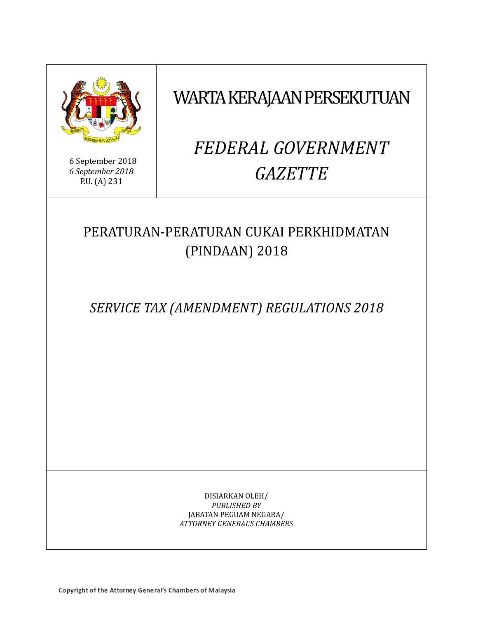

WARTA KERAJAAN PERSEKUTUAN

### 6 September 2018 *6 September 2018* P.U. (A) 231

# *FEDERAL GOVERNMENT GAZETTE*

# PERATURAN-PERATURAN CUKAI PERKHIDMATAN (PINDAAN) 2018

*SERVICE TAX (AMENDMENT) REGULATIONS 2018*

DISIARKAN OLEH/ *PUBLISHED BY* JABATAN PEGUAM NEGARA/ *ATTORNEY GENERAL'S CHAMBERS*

Copyright of the Attorney General's Chambers of Malaysia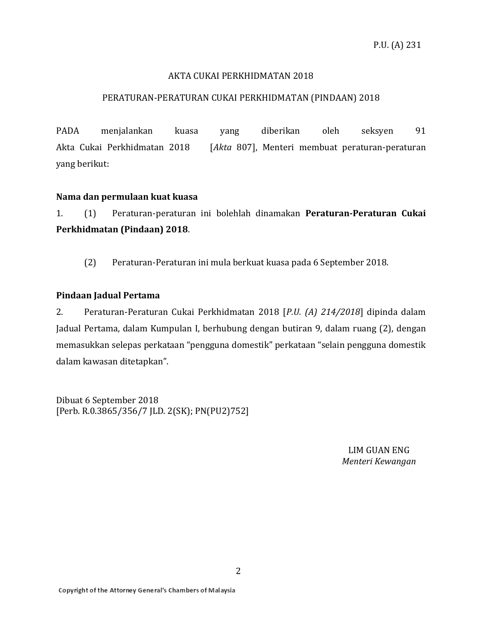### AKTA CUKAI PERKHIDMATAN 2018

## PERATURAN-PERATURAN CUKAI PERKHIDMATAN (PINDAAN) 2018

PADA menjalankan kuasa yang diberikan oleh seksyen 91 Akta Cukai Perkhidmatan 2018 [*Akta* 807], Menteri membuat peraturan-peraturan yang berikut:

### **Nama dan permulaan kuat kuasa**

1. (1) Peraturan-peraturan ini bolehlah dinamakan **Peraturan-Peraturan Cukai Perkhidmatan (Pindaan) 2018**.

(2) Peraturan-Peraturan ini mula berkuat kuasa pada 6 September 2018.

# **Pindaan Jadual Pertama**

2. Peraturan-Peraturan Cukai Perkhidmatan 2018 [*P.U. (A) 214/2018*] dipinda dalam Jadual Pertama, dalam Kumpulan I, berhubung dengan butiran 9, dalam ruang (2), dengan memasukkan selepas perkataan "pengguna domestik" perkataan "selain pengguna domestik dalam kawasan ditetapkan".

Dibuat 6 September 2018 [Perb. R.0.3865/356/7 JLD. 2(SK); PN(PU2)752]

> LIM GUAN ENG *Menteri Kewangan*